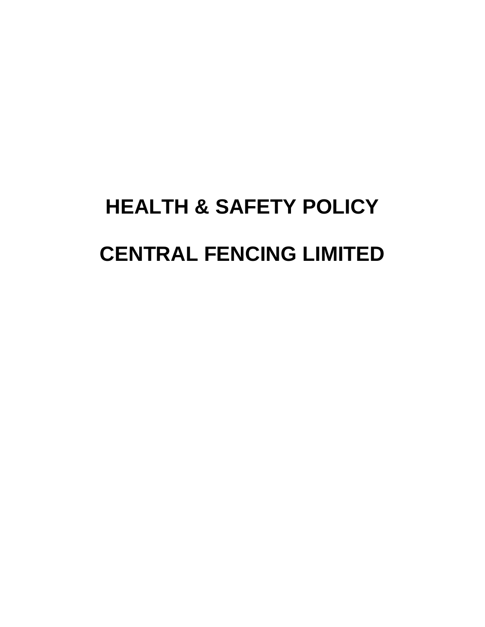# **HEALTH & SAFETY POLICY CENTRAL FENCING LIMITED**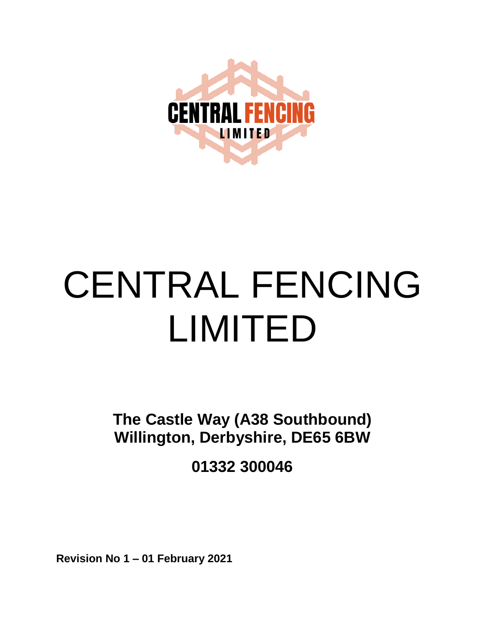

# CENTRAL FENCING LIMITED

**The Castle Way (A38 Southbound) Willington, Derbyshire, DE65 6BW**

**01332 300046**

**Revision No 1 – 01 February 2021**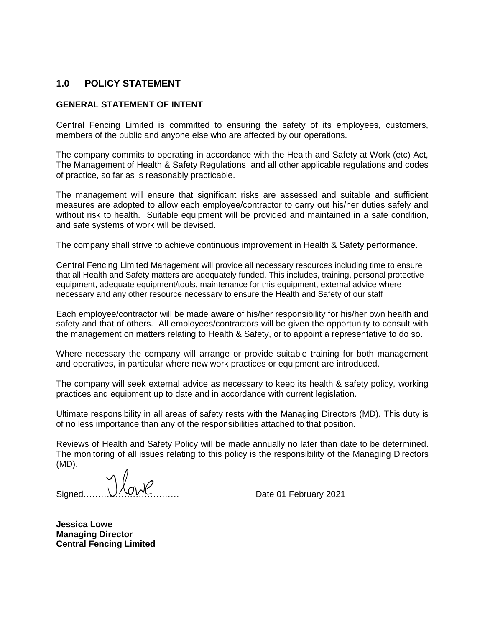# **1.0 POLICY STATEMENT**

# **GENERAL STATEMENT OF INTENT**

Central Fencing Limited is committed to ensuring the safety of its employees, customers, members of the public and anyone else who are affected by our operations.

The company commits to operating in accordance with the Health and Safety at Work (etc) Act, The Management of Health & Safety Regulations and all other applicable regulations and codes of practice, so far as is reasonably practicable.

The management will ensure that significant risks are assessed and suitable and sufficient measures are adopted to allow each employee/contractor to carry out his/her duties safely and without risk to health. Suitable equipment will be provided and maintained in a safe condition, and safe systems of work will be devised.

The company shall strive to achieve continuous improvement in Health & Safety performance.

Central Fencing Limited Management will provide all necessary resources including time to ensure that all Health and Safety matters are adequately funded. This includes, training, personal protective equipment, adequate equipment/tools, maintenance for this equipment, external advice where necessary and any other resource necessary to ensure the Health and Safety of our staff

Each employee/contractor will be made aware of his/her responsibility for his/her own health and safety and that of others. All employees/contractors will be given the opportunity to consult with the management on matters relating to Health & Safety, or to appoint a representative to do so.

Where necessary the company will arrange or provide suitable training for both management and operatives, in particular where new work practices or equipment are introduced.

The company will seek external advice as necessary to keep its health & safety policy, working practices and equipment up to date and in accordance with current legislation.

Ultimate responsibility in all areas of safety rests with the Managing Directors (MD). This duty is of no less importance than any of the responsibilities attached to that position.

Reviews of Health and Safety Policy will be made annually no later than date to be determined. The monitoring of all issues relating to this policy is the responsibility of the Managing Directors (MD).

Signed…………………………… Date 01 February 2021

**Jessica Lowe Managing Director Central Fencing Limited**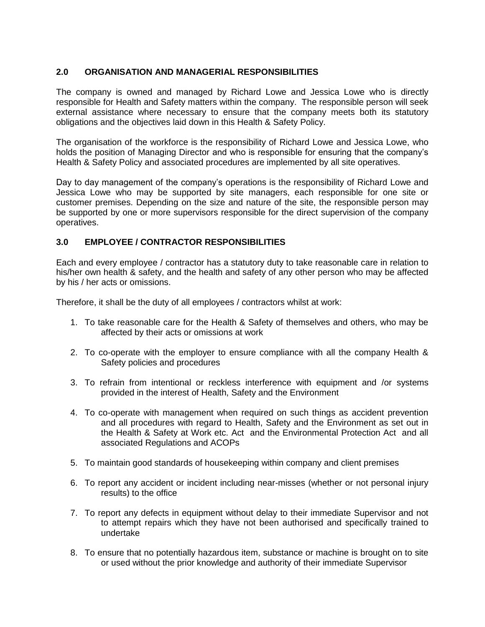# **2.0 ORGANISATION AND MANAGERIAL RESPONSIBILITIES**

The company is owned and managed by Richard Lowe and Jessica Lowe who is directly responsible for Health and Safety matters within the company. The responsible person will seek external assistance where necessary to ensure that the company meets both its statutory obligations and the objectives laid down in this Health & Safety Policy.

The organisation of the workforce is the responsibility of Richard Lowe and Jessica Lowe, who holds the position of Managing Director and who is responsible for ensuring that the company's Health & Safety Policy and associated procedures are implemented by all site operatives.

Day to day management of the company's operations is the responsibility of Richard Lowe and Jessica Lowe who may be supported by site managers, each responsible for one site or customer premises. Depending on the size and nature of the site, the responsible person may be supported by one or more supervisors responsible for the direct supervision of the company operatives.

# **3.0 EMPLOYEE / CONTRACTOR RESPONSIBILITIES**

Each and every employee / contractor has a statutory duty to take reasonable care in relation to his/her own health & safety, and the health and safety of any other person who may be affected by his / her acts or omissions.

Therefore, it shall be the duty of all employees / contractors whilst at work:

- 1. To take reasonable care for the Health & Safety of themselves and others, who may be affected by their acts or omissions at work
- 2. To co-operate with the employer to ensure compliance with all the company Health & Safety policies and procedures
- 3. To refrain from intentional or reckless interference with equipment and /or systems provided in the interest of Health, Safety and the Environment
- 4. To co-operate with management when required on such things as accident prevention and all procedures with regard to Health, Safety and the Environment as set out in the Health & Safety at Work etc. Act and the Environmental Protection Act and all associated Regulations and ACOPs
- 5. To maintain good standards of housekeeping within company and client premises
- 6. To report any accident or incident including near-misses (whether or not personal injury results) to the office
- 7. To report any defects in equipment without delay to their immediate Supervisor and not to attempt repairs which they have not been authorised and specifically trained to undertake
- 8. To ensure that no potentially hazardous item, substance or machine is brought on to site or used without the prior knowledge and authority of their immediate Supervisor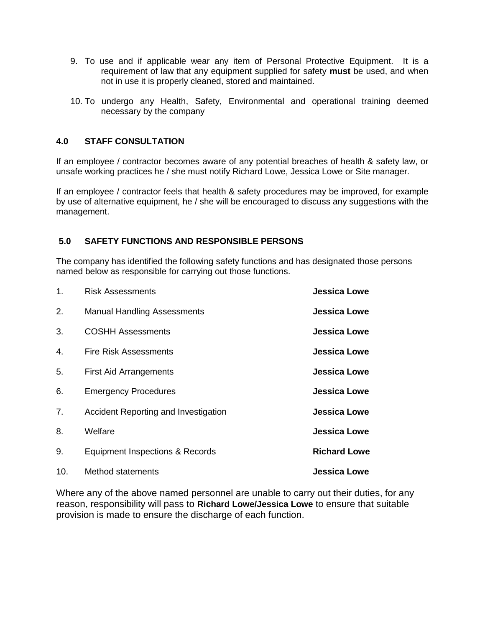- 9. To use and if applicable wear any item of Personal Protective Equipment. It is a requirement of law that any equipment supplied for safety **must** be used, and when not in use it is properly cleaned, stored and maintained.
- 10. To undergo any Health, Safety, Environmental and operational training deemed necessary by the company

# **4.0 STAFF CONSULTATION**

If an employee / contractor becomes aware of any potential breaches of health & safety law, or unsafe working practices he / she must notify Richard Lowe, Jessica Lowe or Site manager.

If an employee / contractor feels that health & safety procedures may be improved, for example by use of alternative equipment, he / she will be encouraged to discuss any suggestions with the management.

# **5.0 SAFETY FUNCTIONS AND RESPONSIBLE PERSONS**

The company has identified the following safety functions and has designated those persons named below as responsible for carrying out those functions.

| 1.  | <b>Risk Assessments</b>              | <b>Jessica Lowe</b> |
|-----|--------------------------------------|---------------------|
| 2.  | <b>Manual Handling Assessments</b>   | <b>Jessica Lowe</b> |
| 3.  | <b>COSHH Assessments</b>             | <b>Jessica Lowe</b> |
| 4.  | <b>Fire Risk Assessments</b>         | <b>Jessica Lowe</b> |
| 5.  | <b>First Aid Arrangements</b>        | <b>Jessica Lowe</b> |
| 6.  | <b>Emergency Procedures</b>          | <b>Jessica Lowe</b> |
| 7.  | Accident Reporting and Investigation | <b>Jessica Lowe</b> |
| 8.  | Welfare                              | <b>Jessica Lowe</b> |
| 9.  | Equipment Inspections & Records      | <b>Richard Lowe</b> |
| 10. | Method statements                    | <b>Jessica Lowe</b> |

Where any of the above named personnel are unable to carry out their duties, for any reason, responsibility will pass to **Richard Lowe/Jessica Lowe** to ensure that suitable provision is made to ensure the discharge of each function.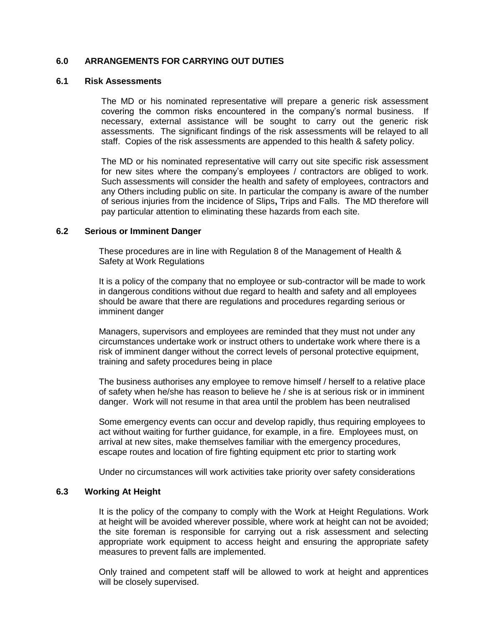# **6.0 ARRANGEMENTS FOR CARRYING OUT DUTIES**

# **6.1 Risk Assessments**

The MD or his nominated representative will prepare a generic risk assessment covering the common risks encountered in the company's normal business. If necessary, external assistance will be sought to carry out the generic risk assessments. The significant findings of the risk assessments will be relayed to all staff. Copies of the risk assessments are appended to this health & safety policy.

The MD or his nominated representative will carry out site specific risk assessment for new sites where the company's employees / contractors are obliged to work. Such assessments will consider the health and safety of employees, contractors and any Others including public on site. In particular the company is aware of the number of serious injuries from the incidence of Slips**,** Trips and Falls.The MD therefore will pay particular attention to eliminating these hazards from each site.

#### **6.2 Serious or Imminent Danger**

These procedures are in line with Regulation 8 of the Management of Health & Safety at Work Regulations

It is a policy of the company that no employee or sub-contractor will be made to work in dangerous conditions without due regard to health and safety and all employees should be aware that there are regulations and procedures regarding serious or imminent danger

Managers, supervisors and employees are reminded that they must not under any circumstances undertake work or instruct others to undertake work where there is a risk of imminent danger without the correct levels of personal protective equipment, training and safety procedures being in place

The business authorises any employee to remove himself / herself to a relative place of safety when he/she has reason to believe he / she is at serious risk or in imminent danger. Work will not resume in that area until the problem has been neutralised

Some emergency events can occur and develop rapidly, thus requiring employees to act without waiting for further guidance, for example, in a fire. Employees must, on arrival at new sites, make themselves familiar with the emergency procedures, escape routes and location of fire fighting equipment etc prior to starting work

Under no circumstances will work activities take priority over safety considerations

#### **6.3 Working At Height**

It is the policy of the company to comply with the Work at Height Regulations. Work at height will be avoided wherever possible, where work at height can not be avoided; the site foreman is responsible for carrying out a risk assessment and selecting appropriate work equipment to access height and ensuring the appropriate safety measures to prevent falls are implemented.

Only trained and competent staff will be allowed to work at height and apprentices will be closely supervised.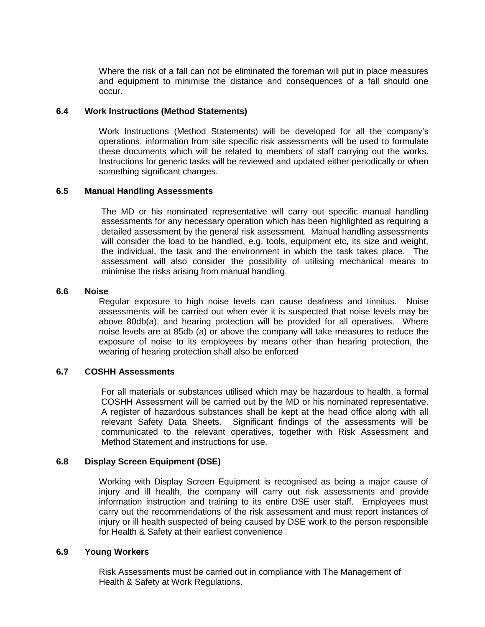Where the risk of a fall can not be eliminated the foreman will put in place measures and equipment to minimise the distance and consequences of a fall should one occur.

#### **6.4 Work Instructions (Method Statements)**

Work Instructions (Method Statements) will be developed for all the company's operations; information from site specific risk assessments will be used to formulate these documents which will be related to members of staff carrying out the works. Instructions for generic tasks will be reviewed and updated either periodically or when something significant changes.

# **6.5 Manual Handling Assessments**

The MD or his nominated representative will carry out specific manual handling assessments for any necessary operation which has been highlighted as requiring a detailed assessment by the general risk assessment. Manual handling assessments will consider the load to be handled, e.g. tools, equipment etc, its size and weight, the individual, the task and the environment in which the task takes place. The assessment will also consider the possibility of utilising mechanical means to minimise the risks arising from manual handling.

#### **6.6 Noise**

Regular exposure to high noise levels can cause deafness and tinnitus. Noise assessments will be carried out when ever it is suspected that noise levels may be above 80db(a), and hearing protection will be provided for all operatives. Where noise levels are at 85db (a) or above the company will take measures to reduce the exposure of noise to its employees by means other than hearing protection, the wearing of hearing protection shall also be enforced

# **6.7 COSHH Assessments**

For all materials or substances utilised which may be hazardous to health, a formal COSHH Assessment will be carried out by the MD or his nominated representative. A register of hazardous substances shall be kept at the head office along with all relevant Safety Data Sheets. Significant findings of the assessments will be communicated to the relevant operatives, together with Risk Assessment and Method Statement and instructions for use.

# **6.8 Display Screen Equipment (DSE)**

Working with Display Screen Equipment is recognised as being a major cause of injury and ill health, the company will carry out risk assessments and provide information instruction and training to its entire DSE user staff. Employees must carry out the recommendations of the risk assessment and must report instances of injury or ill health suspected of being caused by DSE work to the person responsible for Health & Safety at their earliest convenience

#### **6.9 Young Workers**

Risk Assessments must be carried out in compliance with The Management of Health & Safety at Work Regulations.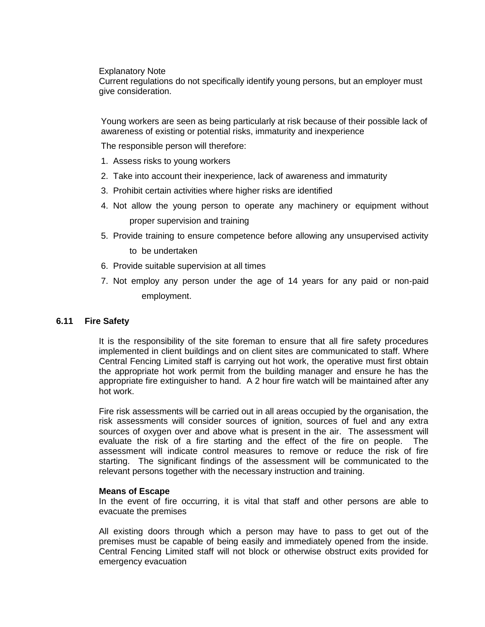Explanatory Note

Current regulations do not specifically identify young persons, but an employer must give consideration.

Young workers are seen as being particularly at risk because of their possible lack of awareness of existing or potential risks, immaturity and inexperience

The responsible person will therefore:

- 1. Assess risks to young workers
- 2. Take into account their inexperience, lack of awareness and immaturity
- 3. Prohibit certain activities where higher risks are identified
- 4. Not allow the young person to operate any machinery or equipment without proper supervision and training
- 5. Provide training to ensure competence before allowing any unsupervised activity to be undertaken
- 6. Provide suitable supervision at all times
- 7. Not employ any person under the age of 14 years for any paid or non-paid employment.

#### **6.11 Fire Safety**

It is the responsibility of the site foreman to ensure that all fire safety procedures implemented in client buildings and on client sites are communicated to staff. Where Central Fencing Limited staff is carrying out hot work, the operative must first obtain the appropriate hot work permit from the building manager and ensure he has the appropriate fire extinguisher to hand. A 2 hour fire watch will be maintained after any hot work.

Fire risk assessments will be carried out in all areas occupied by the organisation, the risk assessments will consider sources of ignition, sources of fuel and any extra sources of oxygen over and above what is present in the air. The assessment will evaluate the risk of a fire starting and the effect of the fire on people. The assessment will indicate control measures to remove or reduce the risk of fire starting. The significant findings of the assessment will be communicated to the relevant persons together with the necessary instruction and training.

#### **Means of Escape**

In the event of fire occurring, it is vital that staff and other persons are able to evacuate the premises

All existing doors through which a person may have to pass to get out of the premises must be capable of being easily and immediately opened from the inside. Central Fencing Limited staff will not block or otherwise obstruct exits provided for emergency evacuation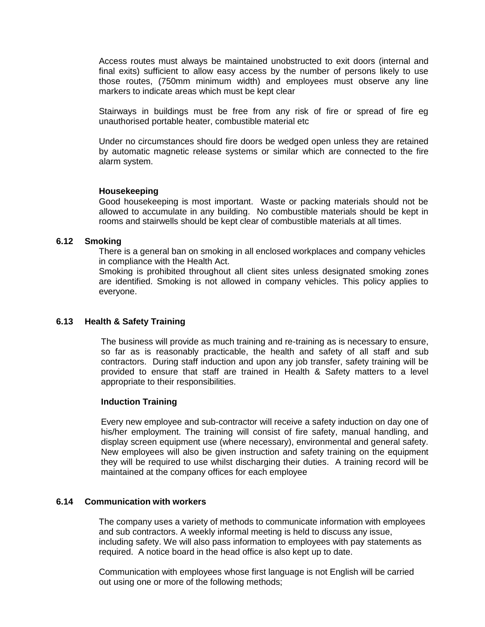Access routes must always be maintained unobstructed to exit doors (internal and final exits) sufficient to allow easy access by the number of persons likely to use those routes, (750mm minimum width) and employees must observe any line markers to indicate areas which must be kept clear

Stairways in buildings must be free from any risk of fire or spread of fire eg unauthorised portable heater, combustible material etc

Under no circumstances should fire doors be wedged open unless they are retained by automatic magnetic release systems or similar which are connected to the fire alarm system.

#### **Housekeeping**

Good housekeeping is most important. Waste or packing materials should not be allowed to accumulate in any building. No combustible materials should be kept in rooms and stairwells should be kept clear of combustible materials at all times.

#### **6.12 Smoking**

There is a general ban on smoking in all enclosed workplaces and company vehicles in compliance with the Health Act.

Smoking is prohibited throughout all client sites unless designated smoking zones are identified. Smoking is not allowed in company vehicles. This policy applies to everyone.

#### **6.13 Health & Safety Training**

The business will provide as much training and re-training as is necessary to ensure, so far as is reasonably practicable, the health and safety of all staff and sub contractors. During staff induction and upon any job transfer, safety training will be provided to ensure that staff are trained in Health & Safety matters to a level appropriate to their responsibilities.

#### **Induction Training**

Every new employee and sub-contractor will receive a safety induction on day one of his/her employment. The training will consist of fire safety, manual handling, and display screen equipment use (where necessary), environmental and general safety. New employees will also be given instruction and safety training on the equipment they will be required to use whilst discharging their duties. A training record will be maintained at the company offices for each employee

# **6.14 Communication with workers**

The company uses a variety of methods to communicate information with employees and sub contractors. A weekly informal meeting is held to discuss any issue, including safety. We will also pass information to employees with pay statements as required. A notice board in the head office is also kept up to date.

Communication with employees whose first language is not English will be carried out using one or more of the following methods;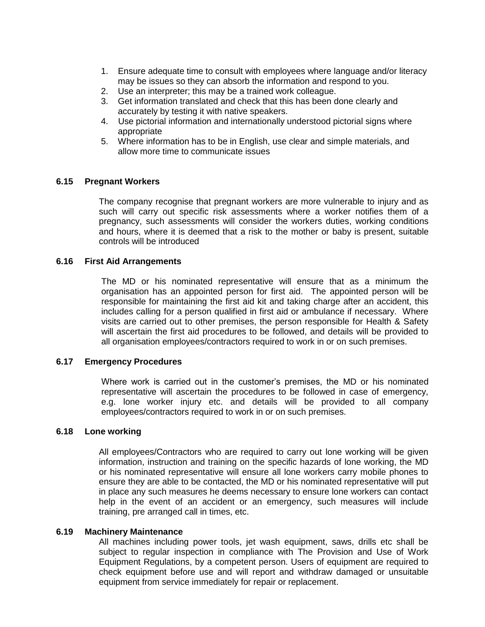- 1. Ensure adequate time to consult with employees where language and/or literacy may be issues so they can absorb the information and respond to you.
- 2. Use an interpreter; this may be a trained work colleague.
- 3. Get information translated and check that this has been done clearly and accurately by testing it with native speakers.
- 4. Use pictorial information and internationally understood pictorial signs where appropriate
- 5. Where information has to be in English, use clear and simple materials, and allow more time to communicate issues

# **6.15 Pregnant Workers**

The company recognise that pregnant workers are more vulnerable to injury and as such will carry out specific risk assessments where a worker notifies them of a pregnancy, such assessments will consider the workers duties, working conditions and hours, where it is deemed that a risk to the mother or baby is present, suitable controls will be introduced

#### **6.16 First Aid Arrangements**

The MD or his nominated representative will ensure that as a minimum the organisation has an appointed person for first aid. The appointed person will be responsible for maintaining the first aid kit and taking charge after an accident, this includes calling for a person qualified in first aid or ambulance if necessary. Where visits are carried out to other premises, the person responsible for Health & Safety will ascertain the first aid procedures to be followed, and details will be provided to all organisation employees/contractors required to work in or on such premises.

# **6.17 Emergency Procedures**

Where work is carried out in the customer's premises, the MD or his nominated representative will ascertain the procedures to be followed in case of emergency, e.g. lone worker injury etc. and details will be provided to all company employees/contractors required to work in or on such premises.

#### **6.18 Lone working**

All employees/Contractors who are required to carry out lone working will be given information, instruction and training on the specific hazards of lone working, the MD or his nominated representative will ensure all lone workers carry mobile phones to ensure they are able to be contacted, the MD or his nominated representative will put in place any such measures he deems necessary to ensure lone workers can contact help in the event of an accident or an emergency, such measures will include training, pre arranged call in times, etc.

#### **6.19 Machinery Maintenance**

All machines including power tools, jet wash equipment, saws, drills etc shall be subject to regular inspection in compliance with The Provision and Use of Work Equipment Regulations, by a competent person. Users of equipment are required to check equipment before use and will report and withdraw damaged or unsuitable equipment from service immediately for repair or replacement.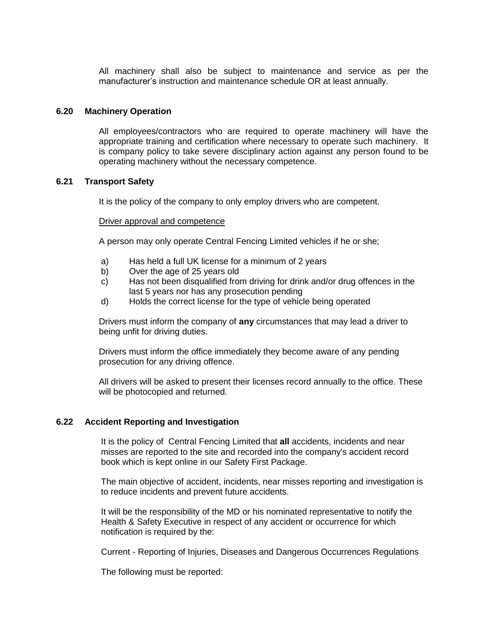All machinery shall also be subject to maintenance and service as per the manufacturer's instruction and maintenance schedule OR at least annually.

#### **6.20 Machinery Operation**

All employees/contractors who are required to operate machinery will have the appropriate training and certification where necessary to operate such machinery. It is company policy to take severe disciplinary action against any person found to be operating machinery without the necessary competence.

#### **6.21 Transport Safety**

It is the policy of the company to only employ drivers who are competent.

#### Driver approval and competence

A person may only operate Central Fencing Limited vehicles if he or she;

- a) Has held a full UK license for a minimum of 2 years
- b) Over the age of 25 years old
- c) Has not been disqualified from driving for drink and/or drug offences in the last 5 years nor has any prosecution pending
- d) Holds the correct license for the type of vehicle being operated

Drivers must inform the company of **any** circumstances that may lead a driver to being unfit for driving duties.

Drivers must inform the office immediately they become aware of any pending prosecution for any driving offence.

All drivers will be asked to present their licenses record annually to the office. These will be photocopied and returned.

#### **6.22 Accident Reporting and Investigation**

It is the policy of Central Fencing Limited that **all** accidents, incidents and near misses are reported to the site and recorded into the company's accident record book which is kept online in our Safety First Package.

The main objective of accident, incidents, near misses reporting and investigation is to reduce incidents and prevent future accidents.

It will be the responsibility of the MD or his nominated representative to notify the Health & Safety Executive in respect of any accident or occurrence for which notification is required by the:

Current - Reporting of Injuries, Diseases and Dangerous Occurrences Regulations

The following must be reported: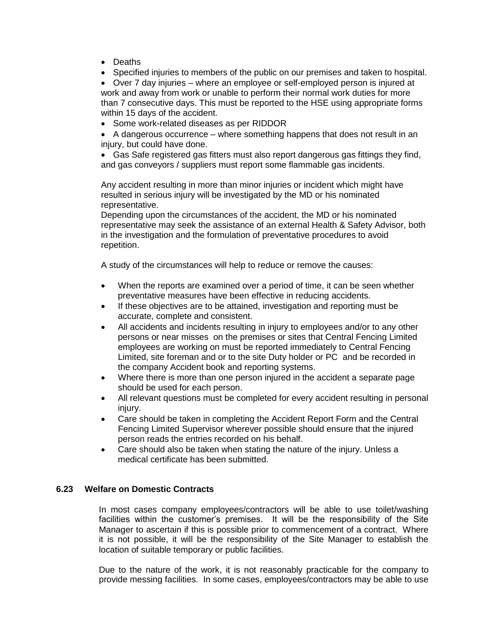- Deaths
- Specified injuries to members of the public on our premises and taken to hospital.

 Over 7 day injuries – where an employee or self-employed person is injured at work and away from work or unable to perform their normal work duties for more than 7 consecutive days. This must be reported to the HSE using appropriate forms within 15 days of the accident.

• Some work-related diseases as per RIDDOR

 A dangerous occurrence – where something happens that does not result in an injury, but could have done.

 Gas Safe registered gas fitters must also report dangerous gas fittings they find, and gas conveyors / suppliers must report some flammable gas incidents.

Any accident resulting in more than minor injuries or incident which might have resulted in serious injury will be investigated by the MD or his nominated representative.

Depending upon the circumstances of the accident, the MD or his nominated representative may seek the assistance of an external Health & Safety Advisor, both in the investigation and the formulation of preventative procedures to avoid repetition.

A study of the circumstances will help to reduce or remove the causes:

- When the reports are examined over a period of time, it can be seen whether preventative measures have been effective in reducing accidents.
- If these objectives are to be attained, investigation and reporting must be accurate, complete and consistent.
- All accidents and incidents resulting in injury to employees and/or to any other persons or near misses on the premises or sites that Central Fencing Limited employees are working on must be reported immediately to Central Fencing Limited, site foreman and or to the site Duty holder or PC and be recorded in the company Accident book and reporting systems.
- Where there is more than one person injured in the accident a separate page should be used for each person.
- All relevant questions must be completed for every accident resulting in personal injury.
- Care should be taken in completing the Accident Report Form and the Central Fencing Limited Supervisor wherever possible should ensure that the injured person reads the entries recorded on his behalf.
- Care should also be taken when stating the nature of the injury. Unless a medical certificate has been submitted.

# **6.23 Welfare on Domestic Contracts**

In most cases company employees/contractors will be able to use toilet/washing facilities within the customer's premises. It will be the responsibility of the Site Manager to ascertain if this is possible prior to commencement of a contract. Where it is not possible, it will be the responsibility of the Site Manager to establish the location of suitable temporary or public facilities.

Due to the nature of the work, it is not reasonably practicable for the company to provide messing facilities. In some cases, employees/contractors may be able to use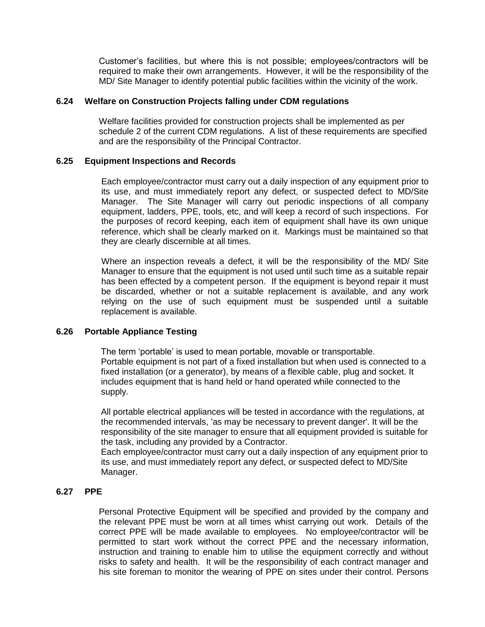Customer's facilities, but where this is not possible; employees/contractors will be required to make their own arrangements. However, it will be the responsibility of the MD/ Site Manager to identify potential public facilities within the vicinity of the work.

# **6.24 Welfare on Construction Projects falling under CDM regulations**

Welfare facilities provided for construction projects shall be implemented as per schedule 2 of the current CDM regulations. A list of these requirements are specified and are the responsibility of the Principal Contractor.

# **6.25 Equipment Inspections and Records**

Each employee/contractor must carry out a daily inspection of any equipment prior to its use, and must immediately report any defect, or suspected defect to MD/Site Manager. The Site Manager will carry out periodic inspections of all company equipment, ladders, PPE, tools, etc, and will keep a record of such inspections. For the purposes of record keeping, each item of equipment shall have its own unique reference, which shall be clearly marked on it. Markings must be maintained so that they are clearly discernible at all times.

Where an inspection reveals a defect, it will be the responsibility of the MD/ Site Manager to ensure that the equipment is not used until such time as a suitable repair has been effected by a competent person. If the equipment is beyond repair it must be discarded, whether or not a suitable replacement is available, and any work relying on the use of such equipment must be suspended until a suitable replacement is available.

# **6.26 Portable Appliance Testing**

The term 'portable' is used to mean portable, movable or transportable. Portable equipment is not part of a fixed installation but when used is connected to a fixed installation (or a generator), by means of a flexible cable, plug and socket. It includes equipment that is hand held or hand operated while connected to the supply.

All portable electrical appliances will be tested in accordance with the regulations, at the recommended intervals, 'as may be necessary to prevent danger'. It will be the responsibility of the site manager to ensure that all equipment provided is suitable for the task, including any provided by a Contractor.

Each employee/contractor must carry out a daily inspection of any equipment prior to its use, and must immediately report any defect, or suspected defect to MD/Site Manager.

# **6.27 PPE**

Personal Protective Equipment will be specified and provided by the company and the relevant PPE must be worn at all times whist carrying out work. Details of the correct PPE will be made available to employees. No employee/contractor will be permitted to start work without the correct PPE and the necessary information, instruction and training to enable him to utilise the equipment correctly and without risks to safety and health. It will be the responsibility of each contract manager and his site foreman to monitor the wearing of PPE on sites under their control. Persons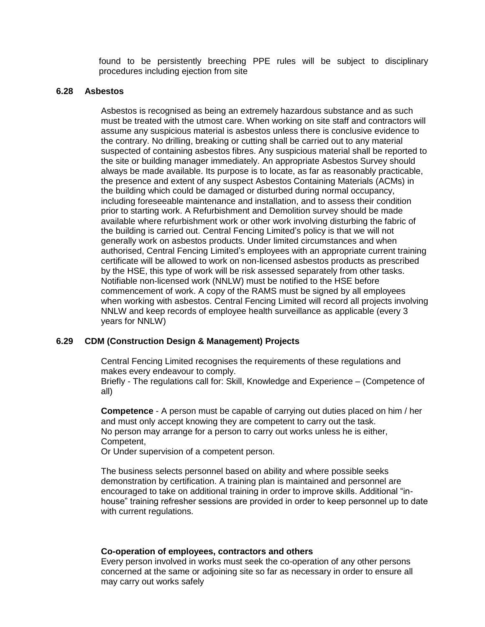found to be persistently breeching PPE rules will be subject to disciplinary procedures including ejection from site

# **6.28 Asbestos**

Asbestos is recognised as being an extremely hazardous substance and as such must be treated with the utmost care. When working on site staff and contractors will assume any suspicious material is asbestos unless there is conclusive evidence to the contrary. No drilling, breaking or cutting shall be carried out to any material suspected of containing asbestos fibres. Any suspicious material shall be reported to the site or building manager immediately. An appropriate Asbestos Survey should always be made available. Its purpose is to locate, as far as reasonably practicable, the presence and extent of any suspect Asbestos Containing Materials (ACMs) in the building which could be damaged or disturbed during normal occupancy, including foreseeable maintenance and installation, and to assess their condition prior to starting work. A Refurbishment and Demolition survey should be made available where refurbishment work or other work involving disturbing the fabric of the building is carried out. Central Fencing Limited's policy is that we will not generally work on asbestos products. Under limited circumstances and when authorised, Central Fencing Limited's employees with an appropriate current training certificate will be allowed to work on non-licensed asbestos products as prescribed by the HSE, this type of work will be risk assessed separately from other tasks. Notifiable non-licensed work (NNLW) must be notified to the HSE before commencement of work. A copy of the RAMS must be signed by all employees when working with asbestos. Central Fencing Limited will record all projects involving NNLW and keep records of employee health surveillance as applicable (every 3 years for NNLW)

#### **6.29 CDM (Construction Design & Management) Projects**

Central Fencing Limited recognises the requirements of these regulations and makes every endeavour to comply.

Briefly - The regulations call for: Skill, Knowledge and Experience – (Competence of all)

**Competence** - A person must be capable of carrying out duties placed on him / her and must only accept knowing they are competent to carry out the task. No person may arrange for a person to carry out works unless he is either, Competent,

Or Under supervision of a competent person.

The business selects personnel based on ability and where possible seeks demonstration by certification. A training plan is maintained and personnel are encouraged to take on additional training in order to improve skills. Additional "inhouse" training refresher sessions are provided in order to keep personnel up to date with current regulations.

#### **Co-operation of employees, contractors and others**

Every person involved in works must seek the co-operation of any other persons concerned at the same or adjoining site so far as necessary in order to ensure all may carry out works safely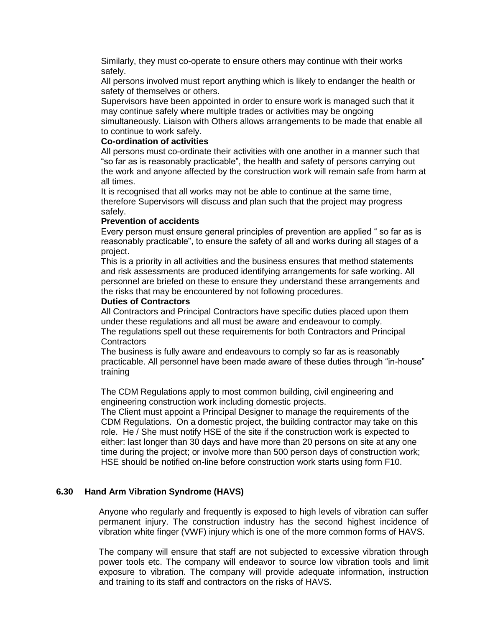Similarly, they must co-operate to ensure others may continue with their works safely.

All persons involved must report anything which is likely to endanger the health or safety of themselves or others.

Supervisors have been appointed in order to ensure work is managed such that it may continue safely where multiple trades or activities may be ongoing simultaneously. Liaison with Others allows arrangements to be made that enable all

to continue to work safely.

# **Co-ordination of activities**

All persons must co-ordinate their activities with one another in a manner such that "so far as is reasonably practicable", the health and safety of persons carrying out the work and anyone affected by the construction work will remain safe from harm at all times.

It is recognised that all works may not be able to continue at the same time, therefore Supervisors will discuss and plan such that the project may progress safely.

#### **Prevention of accidents**

Every person must ensure general principles of prevention are applied " so far as is reasonably practicable", to ensure the safety of all and works during all stages of a project.

This is a priority in all activities and the business ensures that method statements and risk assessments are produced identifying arrangements for safe working. All personnel are briefed on these to ensure they understand these arrangements and the risks that may be encountered by not following procedures.

#### **Duties of Contractors**

All Contractors and Principal Contractors have specific duties placed upon them under these regulations and all must be aware and endeavour to comply.

The regulations spell out these requirements for both Contractors and Principal **Contractors** 

The business is fully aware and endeavours to comply so far as is reasonably practicable. All personnel have been made aware of these duties through "in-house" training

The CDM Regulations apply to most common building, civil engineering and engineering construction work including domestic projects.

The Client must appoint a Principal Designer to manage the requirements of the CDM Regulations. On a domestic project, the building contractor may take on this role. He / She must notify HSE of the site if the construction work is expected to either: last longer than 30 days and have more than 20 persons on site at any one time during the project; or involve more than 500 person days of construction work; HSE should be notified on-line before construction work starts using form F10.

# **6.30 Hand Arm Vibration Syndrome (HAVS)**

Anyone who regularly and frequently is exposed to high levels of vibration can suffer permanent injury. The construction industry has the second highest incidence of vibration white finger (VWF) injury which is one of the more common forms of HAVS.

The company will ensure that staff are not subjected to excessive vibration through power tools etc. The company will endeavor to source low vibration tools and limit exposure to vibration. The company will provide adequate information, instruction and training to its staff and contractors on the risks of HAVS.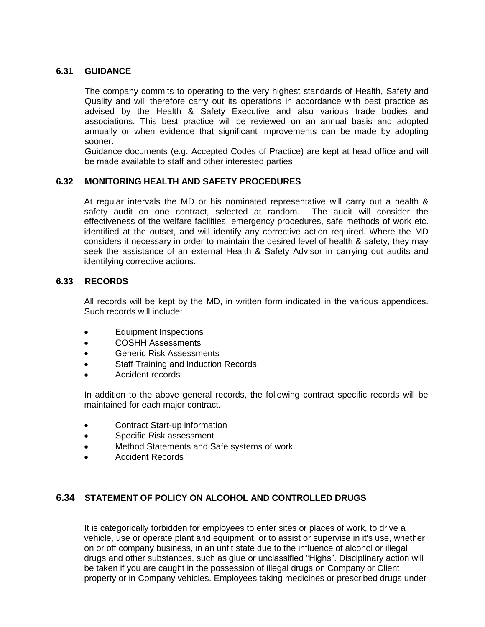# **6.31 GUIDANCE**

The company commits to operating to the very highest standards of Health, Safety and Quality and will therefore carry out its operations in accordance with best practice as advised by the Health & Safety Executive and also various trade bodies and associations. This best practice will be reviewed on an annual basis and adopted annually or when evidence that significant improvements can be made by adopting sooner.

Guidance documents (e.g. Accepted Codes of Practice) are kept at head office and will be made available to staff and other interested parties

# **6.32 MONITORING HEALTH AND SAFETY PROCEDURES**

At regular intervals the MD or his nominated representative will carry out a health & safety audit on one contract, selected at random. The audit will consider the effectiveness of the welfare facilities; emergency procedures, safe methods of work etc. identified at the outset, and will identify any corrective action required. Where the MD considers it necessary in order to maintain the desired level of health & safety, they may seek the assistance of an external Health & Safety Advisor in carrying out audits and identifying corrective actions.

# **6.33 RECORDS**

All records will be kept by the MD, in written form indicated in the various appendices. Such records will include:

- Equipment Inspections
- COSHH Assessments
- Generic Risk Assessments
- Staff Training and Induction Records
- Accident records

In addition to the above general records, the following contract specific records will be maintained for each major contract.

- Contract Start-up information
- Specific Risk assessment
- Method Statements and Safe systems of work.
- Accident Records

# **6.34 STATEMENT OF POLICY ON ALCOHOL AND CONTROLLED DRUGS**

It is categorically forbidden for employees to enter sites or places of work, to drive a vehicle, use or operate plant and equipment, or to assist or supervise in it's use, whether on or off company business, in an unfit state due to the influence of alcohol or illegal drugs and other substances, such as glue or unclassified "Highs". Disciplinary action will be taken if you are caught in the possession of illegal drugs on Company or Client property or in Company vehicles. Employees taking medicines or prescribed drugs under